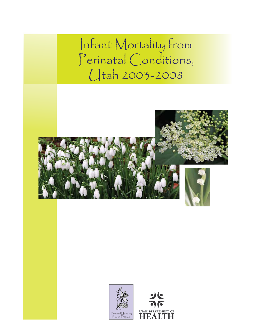Infant Mortality from Perinatal Conditions, Utah 2003-2008





 $\Gamma$  OF **HEA1**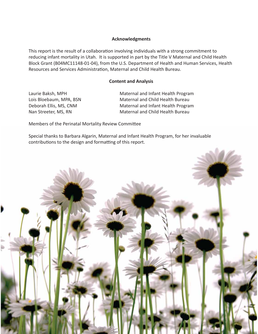#### **Acknowledgments**

This report is the result of a collaboration involving individuals with a strong commitment to reducing infant mortality in Utah. It is supported in part by the Title V Maternal and Child Health Block Grant (B04MC11148-01-04), from the U.S. Department of Health and Human Services, Health Resources and Services Administration, Maternal and Child Health Bureau.

#### **Content and Analysis**

Laurie Baksh, MPH Maternal and Infant Health Program Lois Bloebaum, MPA, BSN Maternal and Child Health Bureau Deborah Ellis, MS, CNM Maternal and Infant Health Program Nan Streeter, MS, RN Maternal and Child Health Bureau

Members of the Perinatal Mortality Review Committee

Special thanks to Barbara Algarin, Maternal and Infant Health Program, for her invaluable contributions to the design and formatting of this report.

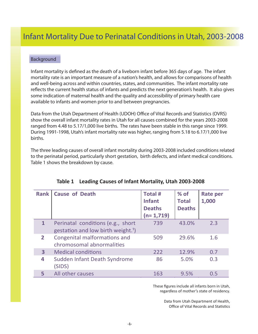#### Background

Infant mortality is defined as the death of a liveborn infant before 365 days of age. The infant mortality rate is an important measure of a nation's health, and allows for comparisons of health and well-being across and within countries, states, and communities. The infant mortality rate reflects the current health status of infants and predicts the next generation's health. It also gives some indication of maternal health and the quality and accessibility of primary health care available to infants and women prior to and between pregnancies.

Data from the Utah Department of Health (UDOH) Office of Vital Records and Statistics (OVRS) show the overall infant mortality rates in Utah for all causes combined for the years 2003-2008 ranged from 4.48 to 5.17/1,000 live births. The rates have been stable in this range since 1999. During 1991-1998, Utah's infant mortality rate was higher, ranging from 5.18 to 6.17/1,000 live births.

The three leading causes of overall infant mortality during 2003-2008 included conditions related to the perinatal period, particularly short gestation, birth defects, and infant medical conditions. Table 1 shows the breakdown by cause.

| <b>Rank</b>    | <b>Cause of Death</b>                                                               | <b>Total#</b><br><b>Infant</b><br><b>Deaths</b><br>$(n=1,719)$ | $%$ of<br><b>Total</b><br><b>Deaths</b> | <b>Rate per</b><br>1,000 |
|----------------|-------------------------------------------------------------------------------------|----------------------------------------------------------------|-----------------------------------------|--------------------------|
| $\mathbf{1}$   | Perinatal conditions (e.g., short<br>gestation and low birth weight. <sup>1</sup> ) | 739                                                            | 43.0%                                   | 2.3                      |
| $\overline{2}$ | Congenital malformations and<br>chromosomal abnormalities                           | 509                                                            | 29.6%                                   | 1.6                      |
| 3              | <b>Medical conditions</b>                                                           | 222                                                            | 12.9%                                   | 0.7                      |
| 4              | Sudden Infant Death Syndrome<br>(SIDS)                                              | 86                                                             | 5.0%                                    | 0.3                      |
|                | All other causes                                                                    | 163                                                            | 9.5%                                    | 0.5                      |

| Table 1 Leading Causes of Infant Mortality, Utah 2003-2008 |
|------------------------------------------------------------|
|------------------------------------------------------------|

These figures include all infants born in Utah, regardless of mother's state of residency.

> Data from Utah Department of Health, Office of Vital Records and Statistics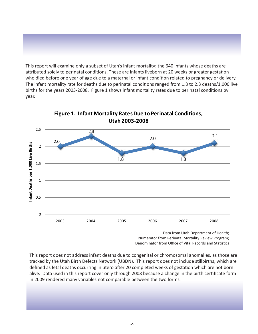This report will examine only a subset of Utah's infant mortality: the 640 infants whose deaths are attributed solely to perinatal conditions. These are infants liveborn at 20 weeks or greater gestation who died before one year of age due to a maternal or infant condition related to pregnancy or delivery. The infant mortality rate for deaths due to perinatal conditions ranged from 1.8 to 2.3 deaths/1,000 live births for the years 2003-2008. Figure 1 shows infant mortality rates due to perinatal conditions by year.



**Figure 1. Infant Mortality RatesDue to Perinatal Conditions, Utah 2003-2008**

> Data from Utah Department of Health; Numerator from Perinatal Mortality Review Program; Denominator from Office of Vital Records and Statistics

This report does not address infant deaths due to congenital or chromosomal anomalies, as those are tracked by the Utah Birth Defects Network (UBDN). This report does not include stillbirths, which are defined as fetal deaths occurring in utero after 20 completed weeks of gestation which are not born alive. Data used in this report cover only through 2008 because a change in the birth certificate form in 2009 rendered many variables not comparable between the two forms.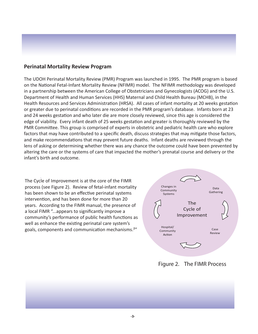### **Perinatal Mortality Review Program**

The UDOH Perinatal Mortality Review (PMR) Program was launched in 1995. The PMR program is based on the National Fetal-Infant Mortality Review (NFIMR) model. The NFIMR methodology was developed in a partnership between the American College of Obstetricians and Gynecologists (ACOG) and the U.S. Department of Health and Human Services (HHS) Maternal and Child Health Bureau (MCHB), in the Health Resources and Services Administration (HRSA). All cases of infant mortality at 20 weeks gestation or greater due to perinatal conditions are recorded in the PMR program's database. Infants born at 23 and 24 weeks gestation and who later die are more closely reviewed, since this age is considered the edge of viability. Every infant death of 25 weeks gestation and greater is thoroughly reviewed by the PMR Committee. This group is comprised of experts in obstetric and pediatric health care who explore factors that may have contributed to a specific death, discuss strategies that may mitigate those factors, and make recommendations that may prevent future deaths. Infant deaths are reviewed through the lens of asking or determining whether there was any chance the outcome could have been prevented by altering the care or the systems of care that impacted the mother's prenatal course and delivery or the infant's birth and outcome.

The Cycle of Improvement is at the core of the FIMR process (see Figure 2). Review of fetal-infant mortality has been shown to be an effective perinatal systems intervention, and has been done for more than 20 years. According to the FIMR manual, the presence of a local FIMR "...appears to significantly improve a community's performance of public health functions as well as enhance the existing perinatal care system's goals, components and communication mechanisms.²"



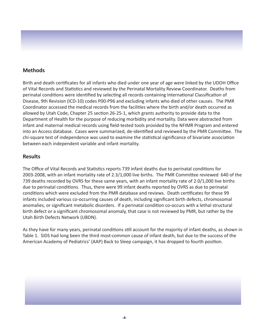### **Methods**

Birth and death certificates for all infants who died under one year of age were linked by the UDOH Office of Vital Records and Statistics and reviewed by the Perinatal Mortality Review Coordinator. Deaths from perinatal conditions were identified by selecting all records containing International Classification of Disease, 9th Revision (ICD-10) codes P00-P96 and excluding infants who died of other causes. The PMR Coordinator accessed the medical records from the facilities where the birth and/or death occurred as allowed by Utah Code, Chapter 25 section 26-25-1, which grants authority to provide data to the Department of Health for the purpose of reducing morbidity and mortality. Data were abstracted from infant and maternal medical records using field-tested tools provided by the NFIMR Program and entered into an Access database. Cases were summarized, de-identified and reviewed by the PMR Committee. The chi-square test of independence was used to examine the statistical significance of bivariate association between each independent variable and infant mortality.

#### **Results**

The Office of Vital Records and Statistics reports 739 infant deaths due to perinatal conditions for 2003-2008, with an infant mortality rate of 2.3/1,000 live births. The PMR Committee reviewed 640 of the 739 deaths recorded by OVRS for these same years, with an infant mortality rate of 2.0/1,000 live births due to perinatal conditions. Thus, there were 99 infant deaths reported by OVRS as due to perinatal conditions which were excluded from the PMR database and reviews. Death certificates for these 99 infants included various co-occurring causes of death, including significant birth defects, chromosomal anomalies, or significant metabolic disorders. If a perinatal condition co-occurs with a lethal structural birth defect or a significant chromosomal anomaly, that case is not reviewed by PMR, but rather by the Utah Birth Defects Network (UBDN).

As they have for many years, perinatal conditions still account for the majority of infant deaths, as shown in Table 1. SIDS had long been the third most-common cause of infant death, but due to the success of the American Academy of Pediatrics' (AAP) Back to Sleep campaign, it has dropped to fourth position.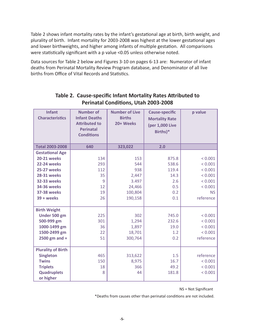Table 2 shows infant mortality rates by the infant's gestational age at birth, birth weight, and plurality of birth. Infant mortality for 2003-2008 was highest at the lower gestational ages and lower birthweights, and higher among infants of multiple gestation. All comparisons were statistically significant with a p value <0.05 unless otherwise noted.

Data sources for Table 2 below and Figures 3-10 on pages 6-13 are: Numerator of infant deaths from Perinatal Mortality Review Program database, and Denominator of all live births from Office of Vital Records and Statistics.

| <b>Infant</b><br><b>Characteristics</b> | <b>Number of</b><br><b>Infant Deaths</b><br><b>Attributed to</b><br><b>Perinatal</b><br><b>Conditions</b> | <b>Number of Live</b><br><b>Births</b><br>20+ Weeks | <b>Cause-specific</b><br><b>Mortality Rate</b><br>(per 1,000 Live<br>Births)* | p value   |
|-----------------------------------------|-----------------------------------------------------------------------------------------------------------|-----------------------------------------------------|-------------------------------------------------------------------------------|-----------|
| <b>Total 2003-2008</b>                  | 640                                                                                                       | 323,022                                             | 2.0                                                                           |           |
| <b>Gestational Age</b>                  |                                                                                                           |                                                     |                                                                               |           |
| <b>20-21 weeks</b>                      | 134                                                                                                       | 153                                                 | 875.8                                                                         | < 0.001   |
| <b>22-24 weeks</b>                      | 293                                                                                                       | 544                                                 | 538.6                                                                         | < 0.001   |
| <b>25-27 weeks</b>                      | 112                                                                                                       | 938                                                 | 119.4                                                                         | < 0.001   |
| <b>28-31 weeks</b>                      | 35                                                                                                        | 2,447                                               | 14.3                                                                          | < 0.001   |
| <b>32-33 weeks</b>                      | 9                                                                                                         | 3.497                                               | 2.6                                                                           | < 0.001   |
| <b>34-36 weeks</b>                      | 12                                                                                                        | 24,466                                              | 0.5                                                                           | < 0.001   |
| <b>37-38 weeks</b>                      | 19                                                                                                        | 100,804                                             | 0.2                                                                           | <b>NS</b> |
| $39 + weeks$                            | 26                                                                                                        | 190,158                                             | 0.1                                                                           | reference |
| <b>Birth Weight</b>                     |                                                                                                           |                                                     |                                                                               |           |
| Under 500 gm                            | 225                                                                                                       | 302                                                 | 745.0                                                                         | < 0.001   |
| 500-999 gm                              | 301                                                                                                       | 1,294                                               | 232.6                                                                         | < 0.001   |
| 1000-1499 gm                            | 36                                                                                                        | 1,897                                               | 19.0                                                                          | < 0.001   |
| 1500-2499 gm                            | 22                                                                                                        | 18,701                                              | 1.2                                                                           | < 0.001   |
| 2500 gm and $+$                         | 51                                                                                                        | 300,764                                             | 0.2                                                                           | reference |
| <b>Plurality of Birth</b>               |                                                                                                           |                                                     |                                                                               |           |
| <b>Singleton</b>                        | 465                                                                                                       | 313,622                                             | 1.5                                                                           | reference |
| <b>Twins</b>                            | 150                                                                                                       | 8,975                                               | 16.7                                                                          | < 0.001   |
| <b>Triplets</b>                         | 18                                                                                                        | 366                                                 | 49.2                                                                          | < 0.001   |
| <b>Quadruplets</b>                      | 8                                                                                                         | 44                                                  | 181.8                                                                         | < 0.001   |
| or higher                               |                                                                                                           |                                                     |                                                                               |           |

# **Table 2. Cause-specific Infant Mortality Rates Attributed to Perinatal Conditions, Utah 2003-2008**

NS = Not Significant

\*Deaths from causes other than perinatal conditions are not included.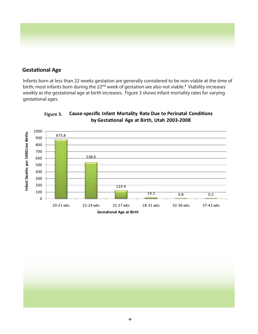

### **Gestational Age**

Infants born at less than 22 weeks gestation are generally considered to be non-viable at the time of birth; most infants born during the 22<sup>nd</sup> week of gestation are also not viable.<sup>3</sup> Viability increases weekly as the gestational age at birth increases. Figure 3 shows infant mortality rates for varying gestational ages.



**Cause-specific Infant Mortality Rate Due to Perinatal Conditions by Gestational Age at Birth, Utah 2003-2008 Figure 3.**

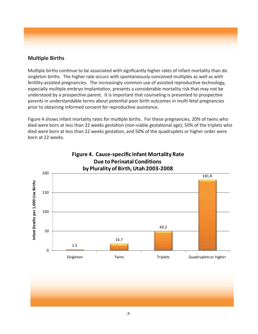# **Multiple Births**

Multiple births continue to be associated with signficantly higher rates of infant mortality than do singleton births. The higher rate occurs with spontaneously-conceived multiples as well as with fertility-assisted pregnancies. The increasingly common use of assisted reproductive technology, especially multiple embryo implantation, presents a considerable mortality risk that may not be understood by a prospective parent. It is important that counseling is presented to prospective parents in understandable terms about potential poor birth outcomes in multi-fetal pregnancies prior to obtaining informed consent for reproductive assistance.

Figure 4 shows infant mortality rates for multiple births. For these pregnancies, 20% of twins who died were born at less than 22 weeks gestation (non-viable gestational age); 50% of the triplets who died were born at less than 22 weeks gestation, and 50% of the quadruplets or higher order were born at 22 weeks.



**Figure 4. Cause-specific Infant Mortality Rate**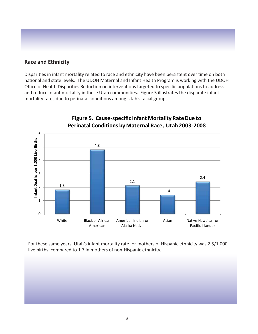### **Race and Ethnicity**

Disparities in infant mortality related to race and ethnicity have been persistent over time on both national and state levels. The UDOH Maternal and Infant Health Program is working with the UDOH Office of Health Disparities Reduction on interventions targeted to specific populations to address and reduce infant mortality in these Utah communities. Figure 5 illustrates the disparate infant mortality rates due to perinatal conditions among Utah's racial groups.



# **Figure 5. Cause-specific Infant Mortality RateDue to Perinatal Conditions by Maternal Race, Utah 2003-2008**

For these same years, Utah's infant mortality rate for mothers of Hispanic ethnicity was 2.5/1,000 live births, compared to 1.7 in mothers of non-Hispanic ethnicity.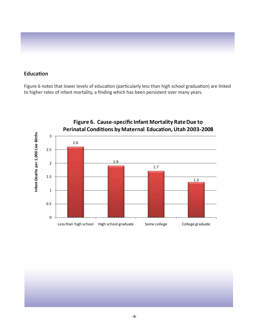### **Education**

Figure 6 notes that lower levels of education (particularly less than high school graduation) are linked to higher rates of infant mortality, a finding which has been persistent over many years.



**Figure 6. Cause-specific Infant Mortality RateDue to**

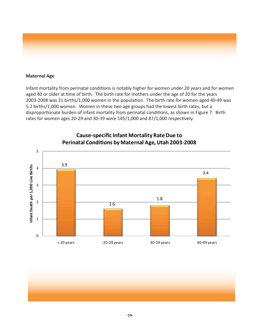

#### **Maternal Age**

Infant mortality from perinatal conditions is notably higher for women under 20 years and for women aged 40 or older at time of birth. The birth rate for mothers under the age of 20 for the years 2003-2008 was 21 births/1,000 women in the population. The birth rate for women aged 40-49 was 5.2 births/1,000 women. Women in these two age groups had the lowest birth rates, but a disproportionate burden of infant mortality from perinatal conditions, as shown in Figure 7. Birth rates for women ages 20-29 and 30-39 were 145/1,000 and 87/1,000 respectively.



### **Cause-specific Infant Mortality RateDue to Perinatal Conditions by Maternal Age,Utah 2003-2008**

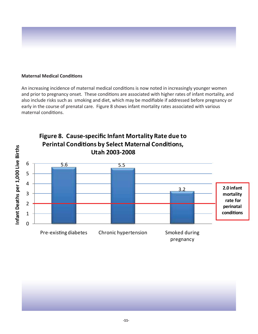#### **Maternal Medical Conditions**

An increasing incidence of maternal medical conditions is now noted in increasingly younger women and prior to pregnancy onset. These conditions are associated with higher rates of infant mortality, and also include risks such as smoking and diet, which may be modifiable if addressed before pregnancy or early in the course of prenatal care. Figure 8 shows infant mortality rates associated with various maternal conditions.



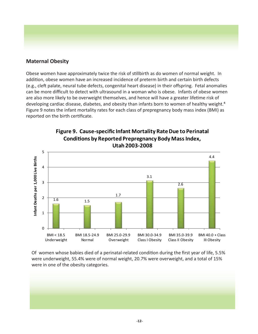## **Maternal Obesity**

Obese women have approximately twice the risk of stillbirth as do women of normal weight. In addition, obese women have an increased incidence of preterm birth and certain birth defects (e.g., cleft palate, neural tube defects, congenital heart disease) in their offspring. Fetal anomalies can be more difficult to detect with ultrasound in a woman who is obese. Infants of obese women are also more likely to be overweight themselves, and hence will have a greater lifetime risk of developing cardiac disease, diabetes, and obesity than infants born to women of healthy weight.<sup>4</sup> Figure 9 notes the infant mortality rates for each class of prepregnancy body mass index (BMI) as reported on the birth certificate.



**Figure 9. Cause-specific Infant Mortality RateDue to Perinatal Conditions by Reported Prepregnancy Body MassIndex,**

Of women whose babies died of a perinatal-related condition during the first year of life, 5.5% were underweight, 55.4% were of normal weight, 20.7% were overweight, and a total of 15% were in one of the obesity categories.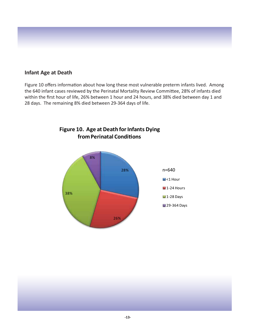### **Infant Age at Death**

Figure 10 offers information about how long these most vulnerable preterm infants lived. Among the 640 infant cases reviewed by the Perinatal Mortality Review Committee, 28% of infants died within the first hour of life, 26% between 1 hour and 24 hours, and 38% died between day 1 and 28 days. The remaining 8% died between 29-364 days of life.



**Figure 10. Age at Death for Infants Dying fromPerinatal Conditions**

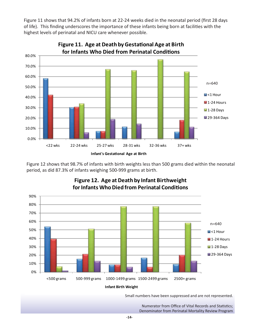Figure 11 shows that 94.2% of infants born at 22-24 weeks died in the neonatal period (first 28 days of life). This finding underscores the importance of these infants being born at facilities with the highest levels of perinatal and NICU care whenever possible.



Figure 12 shows that 98.7% of infants with birth weights less than 500 grams died within the neonatal period, as did 87.3% of infants weighing 500-999 grams at birth.



# **Figure 12. Age at Death by Infant Birthweight forInfants WhoDied from Perinatal Conditions**

**Infant Birth Weight**

Small numbers have been suppressed and are not represented.

Numerator from Office of Vital Records and Statistics; Denominator from Perinatal Mortality Review Program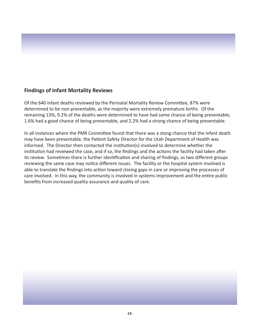### **Findings of Infant Mortality Reviews**

Of the 640 infant deaths reviewed by the Perinatal Mortality Review Committee, 87% were determined to be non-preventable, as the majority were extremely premature births. Of the remaining 13%, 9.2% of the deaths were determined to have had some chance of being preventable; 1.6% had a good chance of being preventable, and 2.2% had a strong chance of being preventable.

In all instances where the PMR Committee found that there was a stong chance that the infant death may have been preventable, the Patient Safety Director for the Utah Department of Health was informed. The Director then contacted the institution(s) involved to determine whether the institution had reviewed the case, and if so, the findings and the actions the facility had taken after its review. Sometimes there is further identification and sharing of findings, as two different groups reviewing the same case may notice different issues. The facility or the hospital system involved is able to translate the findings into action toward closing gaps in care or improving the processes of care involved. In this way, the community is involved in systems improvement and the entire public benefits from increased quality assurance and quality of care.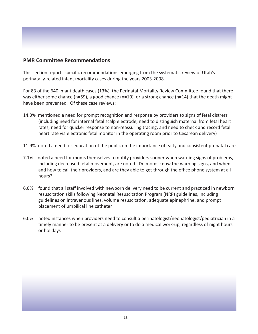#### **PMR Committee Recommendations**

This section reports specific recommendations emerging from the systematic review of Utah's perinatally-related infant mortality cases during the years 2003-2008.

For 83 of the 640 infant death cases (13%), the Perinatal Mortality Review Committee found that there was either some chance (n=59), a good chance (n=10), or a strong chance (n=14) that the death might have been prevented. Of these case reviews:

- 14.3% mentioned a need for prompt recognition and response by providers to signs of fetal distress (including need for internal fetal scalp electrode, need to distinguish maternal from fetal heart rates, need for quicker response to non-reassuring tracing, and need to check and record fetal heart rate via electronic fetal monitor in the operating room prior to Cesarean delivery)
- 11.9% noted a need for education of the public on the importance of early and consistent prenatal care
- 7.1% noted a need for moms themselves to notify providers sooner when warning signs of problems, including decreased fetal movement, are noted. Do moms know the warning signs, and when and how to call their providers, and are they able to get through the office phone system at all hours?
- 6.0% found that all staff involved with newborn delivery need to be current and practiced in newborn resuscitation skills following Neonatal Resuscitation Program (NRP) guidelines, including guidelines on intravenous lines, volume resuscitation, adequate epinephrine, and prompt placement of umbilical line catheter
- 6.0% noted instances when providers need to consult a perinatologist/neonatologist/pediatrician in a timely manner to be present at a delivery or to do a medical work-up, regardless of night hours or holidays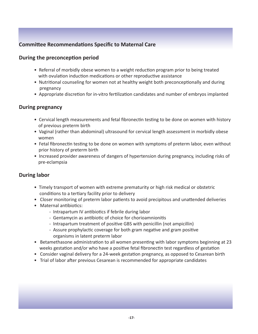# **Committee Recommendations Specific to Maternal Care**

#### **During the preconception period**

- Referral of morbidly obese women to a weight reduction program prior to being treated with ovulation induction medications or other reproductive assistance
- Nutritional counseling for women not at healthy weight both preconceptionally and during pregnancy
- Appropriate discretion for in-vitro fertilization candidates and number of embryos implanted

### **During pregnancy**

- Cervical length measurements and fetal fibronectin testing to be done on women with history of previous preterm birth
- Vaginal (rather than abdominal) ultrasound for cervical length assessment in morbidly obese women
- Fetal fibronectin testing to be done on women with symptoms of preterm labor, even without prior history of preterm birth
- Increased provider awareness of dangers of hypertension during pregnancy, including risks of pre-eclampsia

### **During labor**

- Timely transport of women with extreme prematurity or high risk medical or obstetric conditions to a tertiary facility prior to delivery
- Closer monitoring of preterm labor patients to avoid precipitous and unattended deliveries
- Maternal antibiotics:
	- Intrapartum IV antibiotics if febrile during labor
	- Gentamycin as antibiotic of choice for chorioamnionitis
	- Intrapartum treatment of positive GBS with penicillin (not ampicillin)
	- Assure prophylactic coverage for both gram negative and gram positive organisms in latent preterm labor
- Betamethasone administration to all women presenting with labor symptoms beginning at 23 weeks gestation and/or who have a positive fetal fibronectin test regardless of gestation
- Consider vaginal delivery for a 24-week gestation pregnancy, as opposed to Cesarean birth
- Trial of labor after previous Cesarean is recommended for appropriate candidates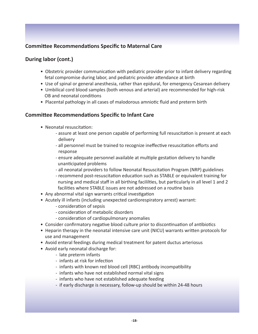# **Committee Recommendations Specific to Maternal Care**

### **During labor (cont.)**

- Obstetric provider communication with pediatric provider prior to infant delivery regarding fetal compromise during labor, and pediatric provider attendance at birth
- Use of spinal or general anesthesia, rather than epidural, for emergency Cesarean delivery
- Umbilical cord blood samples (both venous and arterial) are recommended for high-risk OB and neonatal conditions
- Placental pathology in all cases of malodorous amniotic fluid and preterm birth

### **Committee Recommendations Specific to Infant Care**

- Neonatal resuscitation:
	- assure at least one person capable of performing full resuscitation is present at each delivery
	- all personnel must be trained to recognize ineffective resuscitation efforts and response
	- ensure adequate personnel available at multiple gestation delivery to handle unanticipated problems
	- all neonatal providers to follow Neonatal Resuscitation Program (NRP) guidelines
	- recommend post-resuscitation education such as STABLE or equivalent training for nursing and medical staff in all birthing facililties, but particularly in all level 1 and 2 facilities where STABLE issues are not addressed on a routine basis
- Any abnormal vital sign warrants critical investigation
- Acutely ill infants (including unexpected cardiorespiratory arrest) warrant:
	- consideration of sepsis
	- consideration of metabolic disorders
	- consideration of cardiopulmonary anomalies
- Consider confirmatory negative blood culture prior to discontinuation of antibiotics
- Heparin therapy in the neonatal intensive care unit (NICU) warrants written protocols for use and management
- Avoid enteral feedings during medical treatment for patent ductus arteriosus
- Avoid early neonatal discharge for:
	- late preterm infants
	- infants at risk for infection
	- infants with known red blood cell (RBC) antibody incompatibility
	- infants who have not established normal vital signs
	- infants who have not established adequate feeding
	- if early discharge is necessary, follow-up should be within 24-48 hours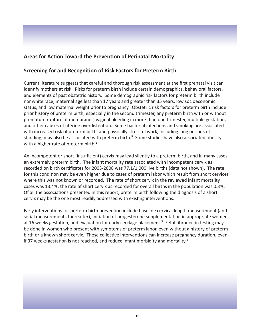# **Areas for Action Toward the Prevention of Perinatal Mortality**

### **Screening for and Recognition of Risk Factors for Preterm Birth**

Current literature suggests that careful and thorough risk assessment at the first prenatal visit can identify mothers at risk. Risks for preterm birth include certain demographics, behavioral factors, and elements of past obstetric history. Some demographic risk factors for preterm birth include nonwhite race, maternal age less than 17 years and greater than 35 years, low socioeconomic status, and low maternal weight prior to pregnancy. Obstetric risk factors for preterm birth include prior history of preterm birth, especially in the second trimester, any preterm birth with or without premature rupture of membranes, vaginal bleeding in more than one trimester, multiple gestation, and other causes of uterine overdistention. Some bacterial infections and smoking are associated with increased risk of preterm birth, and physically stressful work, including long periods of standing, may also be associated with preterm birth.<sup>5</sup> Some studies have also associated obesity with a higher rate of preterm birth.<sup>6</sup>

An incompetent or short (insufficient) cervix may lead silently to a preterm birth, and in many cases an extremely preterm birth. The infant mortality rate associated with incompetent cervix as recorded on birth certificates for 2003-2008 was 77.1/1,000 live births (data not shown). The rate for this condition may be even higher due to cases of preterm labor which result from short cervices where this was not known or recorded. The rate of short cervix in the reviewed infant mortality cases was 13.4%; the rate of short cervix as recorded for overall births in the population was 0.3%. Of all the associations presented in this report, preterm birth following the diagnosis of a short cervix may be the one most readily addressed with existing interventions.

Early interventions for preterm birth prevention include baseline cervical length measurement (and serial measurements thereafter), initiation of progesterone supplementation in appropriate women at 16 weeks gestation, and evaluation for early cerclage placement.<sup>7</sup> Fetal fibronectin testing may be done in women who present with symptoms of preterm labor, even without a history of preterm birth or a known short cervix. These collective interventions can increase pregnancy duration, even if 37 weeks gestation is not reached, and reduce infant morbidity and mortality.<sup>8</sup>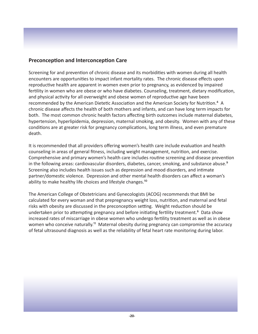### **Preconception and Interconception Care**

Screening for and prevention of chronic disease and its morbidities with women during all health encounters are opportunities to impact infant mortality rates. The chronic disease effects upon reproductive health are apparent in women even prior to pregnancy, as evidenced by impaired fertility in women who are obese or who have diabetes. Counseling, treatment, dietary modification, and physical activity for all overweight and obese women of reproductive age have been recommended by the American Dietetic Association and the American Society for Nutrition.<sup>4</sup> A chronic disease affects the health of both mothers and infants, and can have long term impacts for both. The most common chronic health factors affecting birth outcomes include maternal diabetes, hypertension, hyperlipidemia, depression, maternal smoking, and obesity. Women with any of these conditions are at greater risk for pregnancy complications, long term illness, and even premature death.

It is recommended that all providers offering women's health care include evaluation and health counseling in areas of general fitness, including weight management, nutrition, and exercise. Comprehensive and primary women's health care includes routine screening and disease prevention in the following areas: cardiovascular disorders, diabetes, cancer, smoking, and substance abuse.<sup>9</sup> Screening also includes health issues such as depression and mood disorders, and intimate partner/domestic violence. Depression and other mental health disorders can affect a woman's ability to make healthy life choices and lifestyle changes.<sup>10</sup>

The American College of Obstetricians and Gynecologists (ACOG) recommends that BMI be calculated for every woman and that prepregnancy weight loss, nutrition, and maternal and fetal risks with obesity are discussed in the preconception setting. Weight reduction should be undertaken prior to attempting pregnancy and before initiating fertility treatment.<sup>6</sup> Data show increased rates of miscarriage in obese women who undergo fertility treatment as well as in obese women who conceive naturally.<sup>11</sup> Maternal obesity during pregnancy can compromise the accuracy of fetal ultrasound diagnosis as well as the reliability of fetal heart rate monitoring during labor.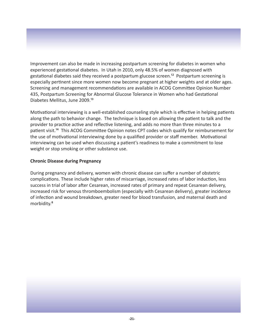Improvement can also be made in increasing postpartum screening for diabetes in women who experienced gestational diabetes. In Utah in 2010, only 48.5% of women diagnosed with gestational diabetes said they received a postpartum glucose screen.<sup>12</sup> Postpartum screening is especially pertinent since more women now become pregnant at higher weights and at older ages. Screening and management recommendations are available in ACOG Committee Opinion Number 435, Postpartum Screening for Abnormal Glucose Tolerance in Women who had Gestational Diabetes Mellitus, June 2009.<sup>13</sup>

Motivational interviewing is a well-established counseling style which is effective in helping patients along the path to behavior change. The technique is based on allowing the patient to talk and the provider to practice active and reflective listening, and adds no more than three minutes to a patient visit.<sup>14</sup> This ACOG Committee Opinion notes CPT codes which qualify for reimbursement for the use of motivational interviewing done by a qualified provider or staff member. Motivational interviewing can be used when discussing a patient's readiness to make a commitment to lose weight or stop smoking or other substance use.

#### **Chronic Disease during Pregnancy**

During pregnancy and delivery, women with chronic disease can suffer a number of obstetric complications. These include higher rates of miscarriage, increased rates of labor induction, less success in trial of labor after Cesarean, increased rates of primary and repeat Cesarean delivery, increased risk for venous thromboembolism (especially with Cesarean delivery), greater incidence of infection and wound breakdown, greater need for blood transfusion, and maternal death and morbidity.<sup>8</sup>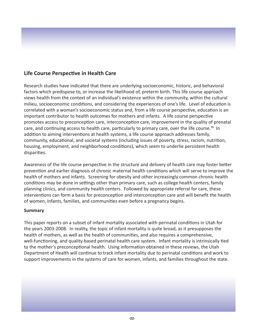# **Life Course Perspective in Health Care**

Research studies have indicated that there are underlying socioeconomic, historic, and behavioral factors which predispose to, or increase the likelihood of, preterm birth. This life course approach views health from the context of an individual's existence within the community, within the cultural milieu, socioeconomic conditions, and considering the experiences of one's life. Level of education is correlated with a woman's socioeconomic status and, from a life course perspective, education is an important contributor to health outcomes for mothers and infants. A life course perspective promotes access to preconception care, interconception care, improvement in the quality of prenatal care, and continuing access to health care, particularly to primary care, over the life course.<sup>15</sup> In addition to aiming interventions at health systems, a life course approach addresses family, community, educational, and societal systems (including issues of poverty, stress, racism, nutrition, housing, employment, and neighborhood conditions), which seem to underlie persistent health disparities.

Awareness of the life course perspective in the structure and delivery of health care may foster better prevention and earlier diagnosis of chronic maternal health conditions which will serve to improve the health of mothers and infants. Screening for obesity and other increasingly common chronic health conditions may be done in settings other than primary care, such as college health centers, family planning clinics, and community health centers. Followed by appropriate referral for care, these interventions can form a basis for preconception and interconception care and will benefit the health of women, infants, families, and communities even before a pregnancy begins.

#### **Summary**

This paper reports on a subset of infant mortality associated with perinatal conditions in Utah for the years 2003-2008. In reality, the topic of infant mortality is quite broad, as it presupposes the health of mothers, as well as the health of communities, and also requires a comprehensive, well-functioning, and quality-based perinatal health care system. Infant mortality is intrinsically tied to the mother's preconceptional health. Using information obtained in these reviews, the Utah Department of Health will continue to track infant mortality due to perinatal conditions and work to support improvements in the systems of care for women, infants, and families throughout the state.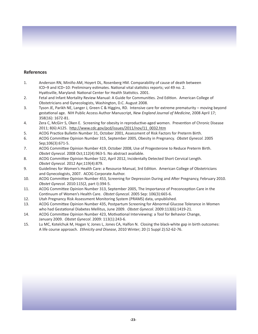#### **References**

- 1. Anderson RN, Miniño AM, Hoyert DL, Rosenberg HM. Comparability of cause of death between ICD–9 and ICD–10: Preliminary estimates. National vital statistics reports; vol 49 no. 2. Hyattsville, Maryland: National Center for Health Statistics. 2001.
- 2. Fetal and Infant Mortality Review Manual: A Guide for Communities. 2nd Edition. American College of Obstetricians and Gynecologists, Washington, D.C. August 2008.
- 3. Tyson JE, Parikh NE, Langer J, Green C & Higgins, RD. Intensive care for extreme prematurity moving beyond gestational age. NIH Public Access Author Manuscript, *New England Journal of Medicine*, 2008 April 17; 358(16): 1672-81.
- 4. Zera C, McGirr S, Oken E. Screening for obesity in reproductive-aged women. Prevention of Chronic Disease 2011; 8(6):A125. http://www.cdc.gov/pcd/issues/2011/nov/11\_0032.htm
- 5. ACOG Practice Bulletin Number 31, October 2001, Assessment of Risk Factors for Preterm Birth.
- 6. ACOG Committee Opinion Number 315, September 2005, Obesity in Pregnancy. *Obstet Gynecol.* 2005 Sep;106(3):671-5.
- 7. ACOG Committee Opinion Number 419, October 2008, Use of Progesterone to Reduce Preterm Birth.  *Obstet Gynecol.* 2008 Oct;112(4):963-5. No abstract available.
- 8. ACOG Committee Opinion Number 522, April 2012, Incidentally Detected Short Cervical Length.  *Obstet Gynecol.* 2012 Apr;119(4):879.
- 9. Guidelines for Women's Health Care: a Resource Manual, 3rd Edition. American College of Obstetricians and Gynecologists, 2007. ACOG Corporate Author.
- 10. ACOG Committee Opinion Number 453, Screening for Depression During and After Pregnancy, February 2010.  *Obstet Gynecol.* 2010:115(2, part I):394-5.
- 11. ACOG Committee Opinion Number 313, September 2005, The Importance of Preconception Care in the Continuum of Women's Health Care. *Obstet Gynecol.* 2005 Sep: 106(3):665-6.
- 12. Utah Pregnancy Risk Assessment Monitoring System (PRAMS) data, unpublished.
- 13. ACOG Committee Opinion Number 435, Postpartum Screening for Abnormal Glucose Tolerance in Women who had Gestational Diabetes Mellitus, June 2009. *Obstet Gynecol.* 2009:113(6):1419-21.
- 14. ACOG Committee Opinion Number 423, Motivational Interviewing: a Tool for Behavior Change, January 2009. *Obstet Gynecol*. 2009: 113(1):243-6.
- 15. Lu MC, Kotelchuk M, Hogan V, Jones L, Jones CA, Halfon N. Closing the black-white gap in birth outcomes: A life course approach. *Ethnicity and Disease*, 2010 Winter; 20 (1 Suppl 2):S2-62-76.